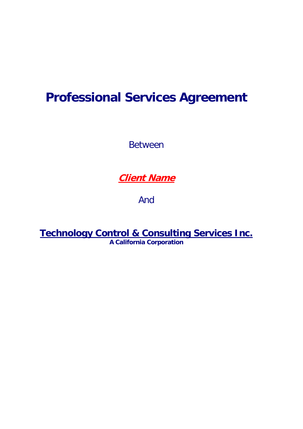# **Professional Services Agreement**

Between

## **Client Name**

And

**Technology Control & Consulting Services Inc. A California Corporation**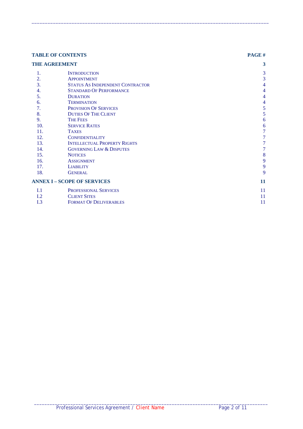| <b>TABLE OF CONTENTS</b><br><b>THE AGREEMENT</b> |                                         | PAGE# |
|--------------------------------------------------|-----------------------------------------|-------|
|                                                  |                                         | 3     |
| 1.                                               | <b>INTRODUCTION</b>                     | 3     |
| 2.                                               | <b>APPOINTMENT</b>                      | 3     |
| 3.                                               | <b>STATUS AS INDEPENDENT CONTRACTOR</b> | 4     |
| 4.                                               | <b>STANDARD OF PERFORMANCE</b>          | 4     |
| 5.                                               | <b>DURATION</b>                         | 4     |
| 6.                                               | <b>TERMINATION</b>                      | 4     |
| 7.                                               | <b>PROVISION OF SERVICES</b>            | 5     |
| 8.                                               | <b>DUTIES OF THE CLIENT</b>             | 5     |
| 9.                                               | <b>THE FEES</b>                         | 6     |
| 10.                                              | <b>SERVICE RATES</b>                    | 6     |
| 11.                                              | <b>TAXES</b>                            | 7     |
| 12.                                              | <b>CONFIDENTIALITY</b>                  | 7     |
| 13.                                              | <b>INTELLECTUAL PROPERTY RIGHTS</b>     | 7     |
| 14.                                              | <b>GOVERNING LAW &amp; DISPUTES</b>     | 7     |
| 15.                                              | <b>NOTICES</b>                          | 8     |
| 16.                                              | <b>ASSIGNMENT</b>                       | 9     |
| 17.                                              | <b>LIABILITY</b>                        | 9     |
| 18.                                              | <b>GENERAL</b>                          | 9     |
| <b>ANNEX I - SCOPE OF SERVICES</b>               |                                         | 11    |
| I.1                                              | PROFESSIONAL SERVICES                   | 11    |
| I.2                                              | <b>CLIENT SITES</b>                     | 11    |
| I.3                                              | <b>FORMAT OF DELIVERABLES</b>           | 11    |

 $\_$  ,  $\_$  ,  $\_$  ,  $\_$  ,  $\_$  ,  $\_$  ,  $\_$  ,  $\_$  ,  $\_$  ,  $\_$  ,  $\_$  ,  $\_$  ,  $\_$  ,  $\_$  ,  $\_$  ,  $\_$  ,  $\_$  ,  $\_$  ,  $\_$  ,  $\_$  ,  $\_$  ,  $\_$  ,  $\_$  ,  $\_$  ,  $\_$  ,  $\_$  ,  $\_$  ,  $\_$  ,  $\_$  ,  $\_$  ,  $\_$  ,  $\_$  ,  $\_$  ,  $\_$  ,  $\_$  ,  $\_$  ,  $\_$  ,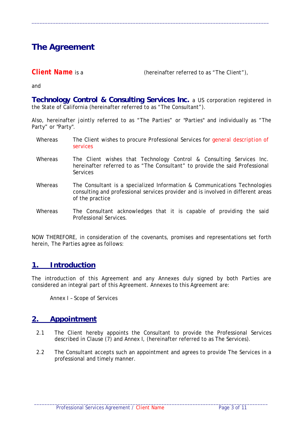## **The Agreement**

**Client Name** is a (hereinafter referred to as "The Client"),

and

**Technology Control & Consulting Services Inc.** a US corporation registered in the State of California (hereinafter referred to as "The Consultant").

 $\_$  ,  $\_$  ,  $\_$  ,  $\_$  ,  $\_$  ,  $\_$  ,  $\_$  ,  $\_$  ,  $\_$  ,  $\_$  ,  $\_$  ,  $\_$  ,  $\_$  ,  $\_$  ,  $\_$  ,  $\_$  ,  $\_$  ,  $\_$  ,  $\_$  ,  $\_$  ,  $\_$  ,  $\_$  ,  $\_$  ,  $\_$  ,  $\_$  ,  $\_$  ,  $\_$  ,  $\_$  ,  $\_$  ,  $\_$  ,  $\_$  ,  $\_$  ,  $\_$  ,  $\_$  ,  $\_$  ,  $\_$  ,  $\_$  ,

Also, hereinafter jointly referred to as "The Parties" or "Parties" and individually as "The Party" or "Party".

- Whereas The Client wishes to procure Professional Services for *general description of services*
- Whereas The Client wishes that Technology Control & Consulting Services Inc. hereinafter referred to as "The Consultant" to provide the said Professional Services
- Whereas The Consultant is a specialized Information & Communications Technologies consulting and professional services provider and is involved in different areas of the practice
- Whereas The Consultant acknowledges that it is capable of providing the said Professional Services.

NOW THEREFORE, in consideration of the covenants, promises and representations set forth herein, The Parties agree as follows:

#### **1. Introduction**

The introduction of this Agreement and any Annexes duly signed by both Parties are considered an integral part of this Agreement. Annexes to this Agreement are:

Annex I – Scope of Services

#### **2. Appointment**

- 2.1 The Client hereby appoints the Consultant to provide the Professional Services described in Clause (7) and Annex I, (hereinafter referred to as The Services).
- 2.2 The Consultant accepts such an appointment and agrees to provide The Services in a professional and timely manner.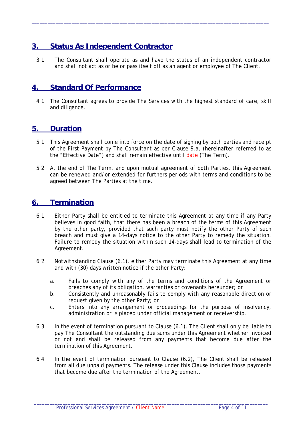### **3. Status As Independent Contractor**

3.1 The Consultant shall operate as and have the status of an independent contractor and shall not act as or be or pass itself off as an agent or employee of The Client.

 $\_$  ,  $\_$  ,  $\_$  ,  $\_$  ,  $\_$  ,  $\_$  ,  $\_$  ,  $\_$  ,  $\_$  ,  $\_$  ,  $\_$  ,  $\_$  ,  $\_$  ,  $\_$  ,  $\_$  ,  $\_$  ,  $\_$  ,  $\_$  ,  $\_$  ,  $\_$  ,  $\_$  ,  $\_$  ,  $\_$  ,  $\_$  ,  $\_$  ,  $\_$  ,  $\_$  ,  $\_$  ,  $\_$  ,  $\_$  ,  $\_$  ,  $\_$  ,  $\_$  ,  $\_$  ,  $\_$  ,  $\_$  ,  $\_$  ,

#### **4. Standard Of Performance**

4.1 The Consultant agrees to provide The Services with the highest standard of care, skill and diligence.

#### **5. Duration**

- 5.1 This Agreement shall come into force on the date of signing by both parties and receipt of the First Payment by The Consultant as per Clause 9.a, (hereinafter referred to as the "Effective Date") and shall remain effective until *date* (The Term).
- 5.2 At the end of The Term, and upon mutual agreement of both Parties, this Agreement can be renewed and/or extended for furthers periods with terms and conditions to be agreed between The Parties at the time.

#### **6. Termination**

- 6.1 Either Party shall be entitled to terminate this Agreement at any time if any Party believes in good faith, that there has been a breach of the terms of this Agreement by the other party, provided that such party must notify the other Party of such breach and must give a 14-days notice to the other Party to remedy the situation. Failure to remedy the situation within such 14-days shall lead to termination of the Agreement.
- 6.2 Notwithstanding Clause (6.1), either Party may terminate this Agreement at any time and with (30) days written notice if the other Party:
	- a. Fails to comply with any of the terms and conditions of the Agreement or breaches any of its obligation, warranties or covenants hereunder; or
	- b. Consistently and unreasonably fails to comply with any reasonable direction or request given by the other Party; or
	- c. Enters into any arrangement or proceedings for the purpose of insolvency, administration or is placed under official management or receivership.
- 6.3 In the event of termination pursuant to Clause (6.1), The Client shall only be liable to pay The Consultant the outstanding due sums under this Agreement whether invoiced or not and shall be released from any payments that become due after the termination of this Agreement.
- 6.4 In the event of termination pursuant to Clause (6.2), The Client shall be released from all due unpaid payments. The release under this Clause includes those payments that become due after the termination of the Agreement.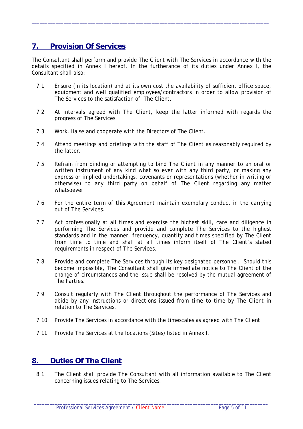### **7. Provision Of Services**

The Consultant shall perform and provide The Client with The Services in accordance with the details specified in Annex I hereof. In the furtherance of its duties under Annex I, the Consultant shall also:

 $\_$  ,  $\_$  ,  $\_$  ,  $\_$  ,  $\_$  ,  $\_$  ,  $\_$  ,  $\_$  ,  $\_$  ,  $\_$  ,  $\_$  ,  $\_$  ,  $\_$  ,  $\_$  ,  $\_$  ,  $\_$  ,  $\_$  ,  $\_$  ,  $\_$  ,  $\_$  ,  $\_$  ,  $\_$  ,  $\_$  ,  $\_$  ,  $\_$  ,  $\_$  ,  $\_$  ,  $\_$  ,  $\_$  ,  $\_$  ,  $\_$  ,  $\_$  ,  $\_$  ,  $\_$  ,  $\_$  ,  $\_$  ,  $\_$  ,

- 7.1 Ensure (in its location) and at its own cost the availability of sufficient office space, equipment and well qualified employees/contractors in order to allow provision of The Services to the satisfaction of The Client.
- 7.2 At intervals agreed with The Client, keep the latter informed with regards the progress of The Services.
- 7.3 Work, liaise and cooperate with the Directors of The Client.
- 7.4 Attend meetings and briefings with the staff of The Client as reasonably required by the latter.
- 7.5 Refrain from binding or attempting to bind The Client in any manner to an oral or written instrument of any kind what so ever with any third party, or making any express or implied undertakings, covenants or representations (whether in writing or otherwise) to any third party on behalf of The Client regarding any matter whatsoever.
- 7.6 For the entire term of this Agreement maintain exemplary conduct in the carrying out of The Services.
- 7.7 Act professionally at all times and exercise the highest skill, care and diligence in performing The Services and provide and complete The Services to the highest standards and in the manner, frequency, quantity and times specified by The Client from time to time and shall at all times inform itself of The Client's stated requirements in respect of The Services.
- 7.8 Provide and complete The Services through its key designated personnel. Should this become impossible, The Consultant shall give immediate notice to The Client of the change of circumstances and the issue shall be resolved by the mutual agreement of The Parties.
- 7.9 Consult regularly with The Client throughout the performance of The Services and abide by any instructions or directions issued from time to time by The Client in relation to The Services.
- 7.10 Provide The Services in accordance with the timescales as agreed with The Client.
- 7.11 Provide The Services at the locations (Sites) listed in Annex I.

#### **8. Duties Of The Client**

8.1 The Client shall provide The Consultant with all information available to The Client concerning issues relating to The Services.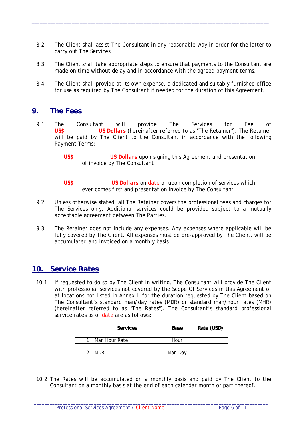8.2 The Client shall assist The Consultant in any reasonable way in order for the latter to carry out The Services.

 $\_$  ,  $\_$  ,  $\_$  ,  $\_$  ,  $\_$  ,  $\_$  ,  $\_$  ,  $\_$  ,  $\_$  ,  $\_$  ,  $\_$  ,  $\_$  ,  $\_$  ,  $\_$  ,  $\_$  ,  $\_$  ,  $\_$  ,  $\_$  ,  $\_$  ,  $\_$  ,  $\_$  ,  $\_$  ,  $\_$  ,  $\_$  ,  $\_$  ,  $\_$  ,  $\_$  ,  $\_$  ,  $\_$  ,  $\_$  ,  $\_$  ,  $\_$  ,  $\_$  ,  $\_$  ,  $\_$  ,  $\_$  ,  $\_$  ,

- 8.3 The Client shall take appropriate steps to ensure that payments to the Consultant are made on time without delay and in accordance with the agreed payment terms.
- 8.4 The Client shall provide at its own expense, a dedicated and suitably furnished office for use as required by The Consultant if needed for the duration of this Agreement.

#### **9. The Fees**

- 9.1 The Consultant will provide The Services for Fee of *US\$ US Dollars* (hereinafter referred to as "The Retainer"). The Retainer will be paid by The Client to the Consultant in accordance with the following Payment Terms:-
	- *US\$ US Dollars* upon signing this Agreement and presentation of invoice by The Consultant
	- *US\$ US Dollars* on *date* or upon completion of services which ever comes first and presentation invoice by The Consultant
- 9.2 Unless otherwise stated, all The Retainer covers the professional fees and charges for The Services only. Additional services could be provided subject to a mutually acceptable agreement between The Parties.
- 9.3 The Retainer does not include any expenses. Any expenses where applicable will be fully covered by The Client. All expenses must be pre-approved by The Client, will be accumulated and invoiced on a monthly basis.

#### **10. Service Rates**

10.1 If requested to do so by The Client in writing, The Consultant will provide The Client with professional services not covered by the Scope Of Services in this Agreement or at locations not listed in Annex I, for the duration requested by The Client based on The Consultant's standard man/day rates (MDR) or standard man/hour rates (MHR) (hereinafter referred to as "The Rates"). The Consultant's standard professional service rates as of *date* are as follows:

| <b>Services</b> | Base    | Rate (USD) |
|-----------------|---------|------------|
|                 |         |            |
| Man Hour Rate   | Hour    |            |
|                 |         |            |
| <b>MDR</b>      | Man Day |            |
|                 |         |            |

10.2 The Rates will be accumulated on a monthly basis and paid by The Client to the Consultant on a monthly basis at the end of each calendar month or part thereof.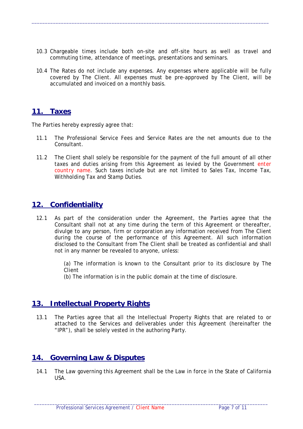10.3 Chargeable times include both on-site and off-site hours as well as travel and commuting time, attendance of meetings, presentations and seminars.

 $\_$  ,  $\_$  ,  $\_$  ,  $\_$  ,  $\_$  ,  $\_$  ,  $\_$  ,  $\_$  ,  $\_$  ,  $\_$  ,  $\_$  ,  $\_$  ,  $\_$  ,  $\_$  ,  $\_$  ,  $\_$  ,  $\_$  ,  $\_$  ,  $\_$  ,  $\_$  ,  $\_$  ,  $\_$  ,  $\_$  ,  $\_$  ,  $\_$  ,  $\_$  ,  $\_$  ,  $\_$  ,  $\_$  ,  $\_$  ,  $\_$  ,  $\_$  ,  $\_$  ,  $\_$  ,  $\_$  ,  $\_$  ,  $\_$  ,

10.4 The Rates do not include any expenses. Any expenses where applicable will be fully  $\frac{1}{2}$  covered by The Client. All expenses must be pre-approved by The Client, will be accumulated and invoiced on a monthly basis.

#### **11. Taxes**

The Parties hereby expressly agree that:

- 11.1 The Professional Service Fees and Service Rates are the net amounts due to the Consultant.
- 11.2 The Client shall solely be responsible for the payment of the full amount of all other taxes and duties arising from this Agreement as levied by the Government *enter country name*. Such taxes include but are not limited to Sales Tax, Income Tax, Withholding Tax and Stamp Duties.

#### **12. Confidentiality**

12.1 As part of the consideration under the Agreement, the Parties agree that the Consultant shall not at any time during the term of this Agreement or thereafter, divulge to any person, firm or corporation any information received from The Client during the course of the performance of this Agreement. All such information disclosed to the Consultant from The Client shall be treated as confidential and shall not in any manner be revealed to anyone, unless:

> (a) The information is known to the Consultant prior to its disclosure by The Client

(b) The information is in the public domain at the time of disclosure.

#### **13. Intellectual Property Rights**

13.1 The Parties agree that all the Intellectual Property Rights that are related to or attached to the Services and deliverables under this Agreement (hereinafter the "IPR"), shall be solely vested in the authoring Party.

#### **14. Governing Law & Disputes**

14.1 The Law governing this Agreement shall be the Law in force in the State of California USA.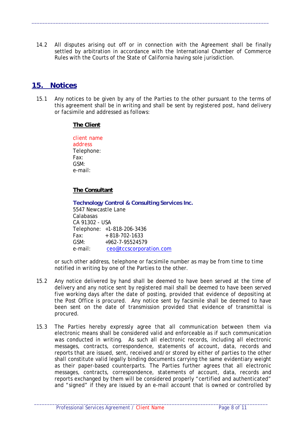14.2 All disputes arising out off or in connection with the Agreement shall be finally settled by arbitration in accordance with the International Chamber of Commerce Rules with the Courts of the State of California having sole jurisdiction.

 $\_$  ,  $\_$  ,  $\_$  ,  $\_$  ,  $\_$  ,  $\_$  ,  $\_$  ,  $\_$  ,  $\_$  ,  $\_$  ,  $\_$  ,  $\_$  ,  $\_$  ,  $\_$  ,  $\_$  ,  $\_$  ,  $\_$  ,  $\_$  ,  $\_$  ,  $\_$  ,  $\_$  ,  $\_$  ,  $\_$  ,  $\_$  ,  $\_$  ,  $\_$  ,  $\_$  ,  $\_$  ,  $\_$  ,  $\_$  ,  $\_$  ,  $\_$  ,  $\_$  ,  $\_$  ,  $\_$  ,  $\_$  ,  $\_$  ,

#### **15. Notices**

15.1 Any notices to be given by any of the Parties to the other pursuant to the terms of this agreement shall be in writing and shall be sent by registered post, hand delivery or facsimile and addressed as follows:

#### **The Client**

*client name address*  Telephone: Fax: GSM: e-mail:

#### **The Consultant**

**Technology Control & Consulting Services Inc.**  5547 Newcastle Lane Calabasas CA 91302 - USA Telephone: +1-818-206-3436 Fax: + 818-702-1633 GSM: +962-7-95524579 e-mail: ceo@tccscorporation.com

or such other address, telephone or facsimile number as may be from time to time notified in writing by one of the Parties to the other.

- 15.2 Any notice delivered by hand shall be deemed to have been served at the time of delivery and any notice sent by registered mail shall be deemed to have been served five working days after the date of posting, provided that evidence of depositing at the Post Office is procured. Any notice sent by facsimile shall be deemed to have been sent on the date of transmission provided that evidence of transmittal is procured.
- 15.3 The Parties hereby expressly agree that all communication between them via electronic means shall be considered valid and enforceable as if such communication was conducted in writing. As such all electronic records, including all electronic messages, contracts, correspondence, statements of account, data, records and reports that are issued, sent, received and/or stored by either of parties to the other shall constitute valid legally binding documents carrying the same evidentiary weight as their paper-based counterparts. The Parties further agrees that all electronic messages, contracts, correspondence, statements of account, data, records and reports exchanged by them will be considered properly "certified and authenticated" and "signed" if they are issued by an e-mail account that is owned or controlled by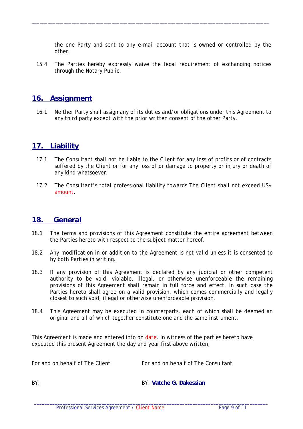the one Party and sent to any e-mail account that is owned or controlled by the other.

15.4 The Parties hereby expressly waive the legal requirement of exchanging notices through the Notary Public.

 $\_$  ,  $\_$  ,  $\_$  ,  $\_$  ,  $\_$  ,  $\_$  ,  $\_$  ,  $\_$  ,  $\_$  ,  $\_$  ,  $\_$  ,  $\_$  ,  $\_$  ,  $\_$  ,  $\_$  ,  $\_$  ,  $\_$  ,  $\_$  ,  $\_$  ,  $\_$  ,  $\_$  ,  $\_$  ,  $\_$  ,  $\_$  ,  $\_$  ,  $\_$  ,  $\_$  ,  $\_$  ,  $\_$  ,  $\_$  ,  $\_$  ,  $\_$  ,  $\_$  ,  $\_$  ,  $\_$  ,  $\_$  ,  $\_$  ,

#### **16. Assignment**

16.1 Neither Party shall assign any of its duties and/or obligations under this Agreement to any third party except with the prior written consent of the other Party.

#### **17. Liability**

- 17.1 The Consultant shall not be liable to the Client for any loss of profits or of contracts suffered by the Client or for any loss of or damage to property or injury or death of any kind whatsoever.
- 17.2 The Consultant's total professional liability towards The Client shall not exceed US\$ *amount*.

#### **18. General**

- 18.1 The terms and provisions of this Agreement constitute the entire agreement between the Parties hereto with respect to the subject matter hereof.
- 18.2 Any modification in or addition to the Agreement is not valid unless it is consented to by both Parties in writing.
- 18.3 If any provision of this Agreement is declared by any judicial or other competent authority to be void, violable, illegal, or otherwise unenforceable the remaining provisions of this Agreement shall remain in full force and effect. In such case the Parties hereto shall agree on a valid provision, which comes commercially and legally closest to such void, illegal or otherwise unenforceable provision.
- 18.4 This Agreement may be executed in counterparts, each of which shall be deemed an original and all of which together constitute one and the same instrument.

This Agreement is made and entered into on *date*. In witness of the parties hereto have executed this present Agreement the day and year first above written,

For and on behalf of The Client For and on behalf of The Consultant

BY: BY: **Vatche G. Dakessian**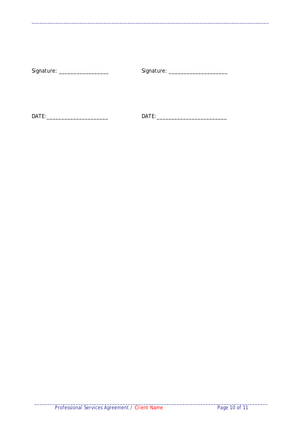| Signature: | Signature: |
|------------|------------|
|            |            |
|            |            |